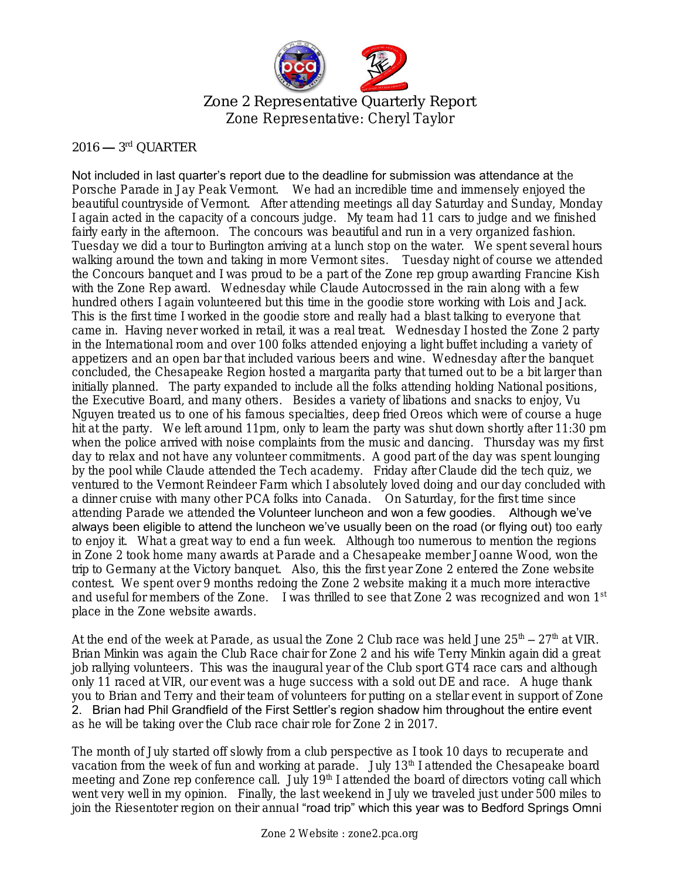

Zone 2 Representative Quarterly Report Zone Representative: Cheryl Taylor

## $2016 - 3$ <sup>rd</sup> QUARTER

Not included in last quarter's report due to the deadline for submission was attendance at the Porsche Parade in Jay Peak Vermont. We had an incredible time and immensely enjoyed the beautiful countryside of Vermont. After attending meetings all day Saturday and Sunday, Monday I again acted in the capacity of a concours judge. My team had 11 cars to judge and we finished fairly early in the afternoon. The concours was beautiful and run in a very organized fashion. Tuesday we did a tour to Burlington arriving at a lunch stop on the water. We spent several hours walking around the town and taking in more Vermont sites. Tuesday night of course we attended the Concours banquet and I was proud to be a part of the Zone rep group awarding Francine Kish with the Zone Rep award. Wednesday while Claude Autocrossed in the rain along with a few hundred others I again volunteered but this time in the goodie store working with Lois and Jack. This is the first time I worked in the goodie store and really had a blast talking to everyone that came in. Having never worked in retail, it was a real treat. Wednesday I hosted the Zone 2 party in the International room and over 100 folks attended enjoying a light buffet including a variety of appetizers and an open bar that included various beers and wine. Wednesday after the banquet concluded, the Chesapeake Region hosted a margarita party that turned out to be a bit larger than initially planned. The party expanded to include all the folks attending holding National positions, the Executive Board, and many others. Besides a variety of libations and snacks to enjoy, Vu Nguyen treated us to one of his famous specialties, deep fried Oreos which were of course a huge hit at the party. We left around 11pm, only to learn the party was shut down shortly after 11:30 pm when the police arrived with noise complaints from the music and dancing. Thursday was my first day to relax and not have any volunteer commitments. A good part of the day was spent lounging by the pool while Claude attended the Tech academy. Friday after Claude did the tech quiz, we ventured to the Vermont Reindeer Farm which I absolutely loved doing and our day concluded with a dinner cruise with many other PCA folks into Canada. On Saturday, for the first time since attending Parade we attended the Volunteer luncheon and won a few goodies. Although we've always been eligible to attend the luncheon we've usually been on the road (or flying out) too early to enjoy it. What a great way to end a fun week. Although too numerous to mention the regions in Zone 2 took home many awards at Parade and a Chesapeake member Joanne Wood, won the trip to Germany at the Victory banquet. Also, this the first year Zone 2 entered the Zone website contest. We spent over 9 months redoing the Zone 2 website making it a much more interactive and useful for members of the Zone. I was thrilled to see that Zone 2 was recognized and won 1<sup>st</sup> place in the Zone website awards.

At the end of the week at Parade, as usual the Zone 2 Club race was held June  $25<sup>th</sup> - 27<sup>th</sup>$  at VIR. Brian Minkin was again the Club Race chair for Zone 2 and his wife Terry Minkin again did a great job rallying volunteers. This was the inaugural year of the Club sport GT4 race cars and although only 11 raced at VIR, our event was a huge success with a sold out DE and race. A huge thank you to Brian and Terry and their team of volunteers for putting on a stellar event in support of Zone 2. Brian had Phil Grandfield of the First Settler's region shadow him throughout the entire event as he will be taking over the Club race chair role for Zone 2 in 2017.

The month of July started off slowly from a club perspective as I took 10 days to recuperate and vacation from the week of fun and working at parade. July 13<sup>th</sup> I attended the Chesapeake board meeting and Zone rep conference call. July 19<sup>th</sup> I attended the board of directors voting call which went very well in my opinion. Finally, the last weekend in July we traveled just under 500 miles to join the Riesentoter region on their annual "road trip" which this year was to Bedford Springs Omni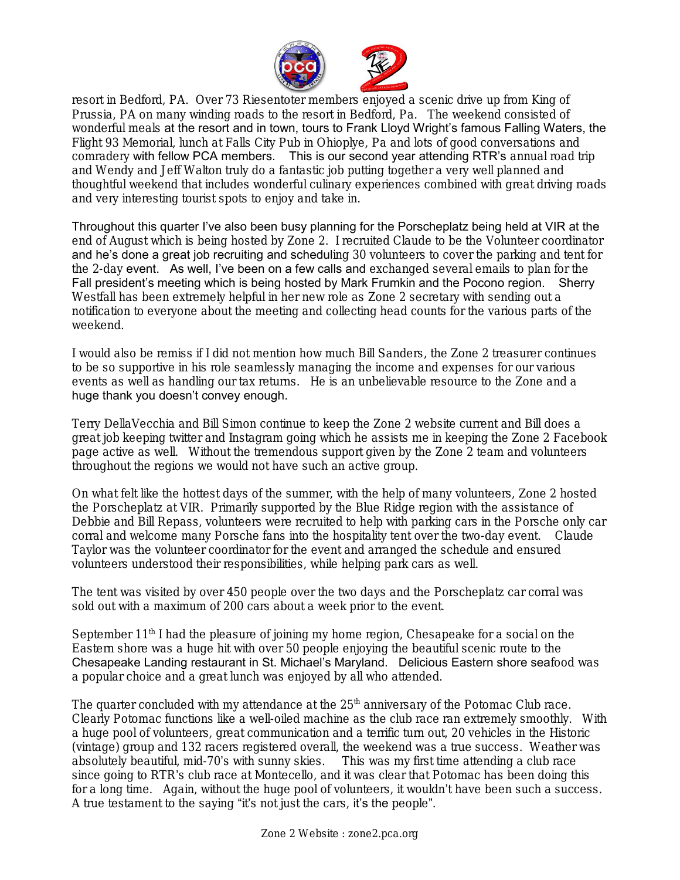

resort in Bedford, PA. Over 73 Riesentoter members enjoyed a scenic drive up from King of Prussia, PA on many winding roads to the resort in Bedford, Pa. The weekend consisted of wonderful meals at the resort and in town, tours to Frank Lloyd Wright's famous Falling Waters, the Flight 93 Memorial, lunch at Falls City Pub in Ohioplye, Pa and lots of good conversations and comradery with fellow PCA members. This is our second year attending RTR's annual road trip and Wendy and Jeff Walton truly do a fantastic job putting together a very well planned and thoughtful weekend that includes wonderful culinary experiences combined with great driving roads and very interesting tourist spots to enjoy and take in.

Throughout this quarter I've also been busy planning for the Porscheplatz being held at VIR at the end of August which is being hosted by Zone 2. I recruited Claude to be the Volunteer coordinator and he's done a great job recruiting and scheduling 30 volunteers to cover the parking and tent for the 2-day event. As well, I've been on a few calls and exchanged several emails to plan for the Fall president's meeting which is being hosted by Mark Frumkin and the Pocono region. Sherry Westfall has been extremely helpful in her new role as Zone 2 secretary with sending out a notification to everyone about the meeting and collecting head counts for the various parts of the weekend.

I would also be remiss if I did not mention how much Bill Sanders, the Zone 2 treasurer continues to be so supportive in his role seamlessly managing the income and expenses for our various events as well as handling our tax returns. He is an unbelievable resource to the Zone and a huge thank you doesn't convey enough.

Terry DellaVecchia and Bill Simon continue to keep the Zone 2 website current and Bill does a great job keeping twitter and Instagram going which he assists me in keeping the Zone 2 Facebook page active as well. Without the tremendous support given by the Zone 2 team and volunteers throughout the regions we would not have such an active group.

On what felt like the hottest days of the summer, with the help of many volunteers, Zone 2 hosted the Porscheplatz at VIR. Primarily supported by the Blue Ridge region with the assistance of Debbie and Bill Repass, volunteers were recruited to help with parking cars in the Porsche only car corral and welcome many Porsche fans into the hospitality tent over the two-day event. Claude Taylor was the volunteer coordinator for the event and arranged the schedule and ensured volunteers understood their responsibilities, while helping park cars as well.

The tent was visited by over 450 people over the two days and the Porscheplatz car corral was sold out with a maximum of 200 cars about a week prior to the event.

September  $11<sup>th</sup>$  I had the pleasure of joining my home region, Chesapeake for a social on the Eastern shore was a huge hit with over 50 people enjoying the beautiful scenic route to the Chesapeake Landing restaurant in St. Michael's Maryland. Delicious Eastern shore seafood was a popular choice and a great lunch was enjoyed by all who attended.

The quarter concluded with my attendance at the 25<sup>th</sup> anniversary of the Potomac Club race. Clearly Potomac functions like a well-oiled machine as the club race ran extremely smoothly. With a huge pool of volunteers, great communication and a terrific turn out, 20 vehicles in the Historic (vintage) group and 132 racers registered overall, the weekend was a true success. Weather was absolutely beautiful, mid-70's with sunny skies. This was my first time attending a club race since going to RTR's club race at Montecello, and it was clear that Potomac has been doing this for a long time. Again, without the huge pool of volunteers, it wouldn't have been such a success. A true testament to the saying "it's not just the cars, it's the people".